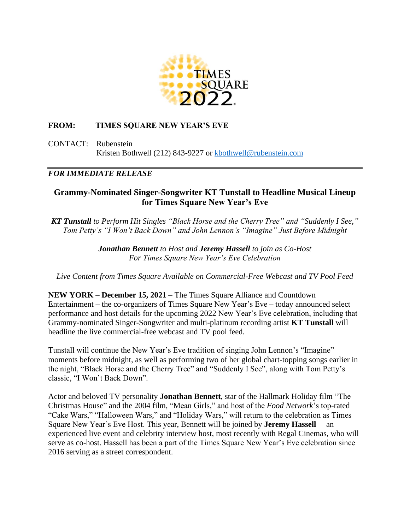

# **FROM: TIMES SQUARE NEW YEAR'S EVE**

CONTACT: Rubenstein Kristen Bothwell (212) 843-9227 or [kbothwell@rubenstein.com](mailto:kbothwell@rubenstein.com)

## *FOR IMMEDIATE RELEASE*

# **Grammy-Nominated Singer-Songwriter KT Tunstall to Headline Musical Lineup for Times Square New Year's Eve**

*KT Tunstall to Perform Hit Singles "Black Horse and the Cherry Tree" and "Suddenly I See," Tom Petty's "I Won't Back Down" and John Lennon's "Imagine" Just Before Midnight*

> *Jonathan Bennett to Host and Jeremy Hassell to join as Co-Host For Times Square New Year's Eve Celebration*

*Live Content from Times Square Available on Commercial-Free Webcast and TV Pool Feed*

**NEW YORK** – **December 15, 2021** – The Times Square Alliance and Countdown Entertainment – the co-organizers of Times Square New Year's Eve – today announced select performance and host details for the upcoming 2022 New Year's Eve celebration, including that Grammy-nominated Singer-Songwriter and multi-platinum recording artist **KT Tunstall** will headline the live commercial-free webcast and TV pool feed.

Tunstall will continue the New Year's Eve tradition of singing John Lennon's "Imagine" moments before midnight, as well as performing two of her global chart-topping songs earlier in the night, "Black Horse and the Cherry Tree" and "Suddenly I See", along with Tom Petty's classic, "I Won't Back Down".

Actor and beloved TV personality **Jonathan Bennett**, star of the Hallmark Holiday film "The Christmas House" and the 2004 film, "Mean Girls," and host of the *Food Network*'s top-rated "Cake Wars," "Halloween Wars," and "Holiday Wars," will return to the celebration as Times Square New Year's Eve Host. This year, Bennett will be joined by **Jeremy Hassell** – an experienced live event and celebrity interview host, most recently with Regal Cinemas, who will serve as co-host. Hassell has been a part of the Times Square New Year's Eve celebration since 2016 serving as a street correspondent.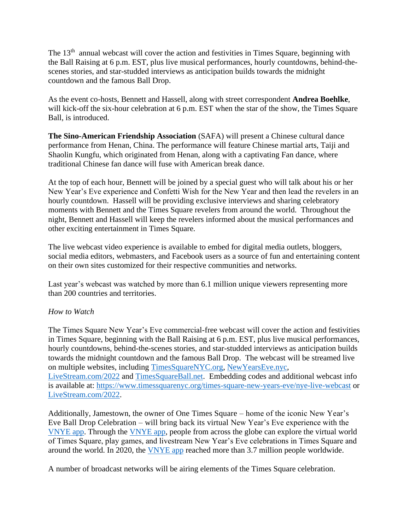The 13<sup>th</sup> annual webcast will cover the action and festivities in Times Square, beginning with the Ball Raising at 6 p.m. EST, plus live musical performances, hourly countdowns, behind-thescenes stories, and star-studded interviews as anticipation builds towards the midnight countdown and the famous Ball Drop.

As the event co-hosts, Bennett and Hassell, along with street correspondent **Andrea Boehlke**, will kick-off the six-hour celebration at 6 p.m. EST when the star of the show, the Times Square Ball, is introduced.

**The Sino-American Friendship Association** (SAFA) will present a Chinese cultural dance performance from Henan, China. The performance will feature Chinese martial arts, Taiji and Shaolin Kungfu, which originated from Henan, along with a captivating Fan dance, where traditional Chinese fan dance will fuse with American break dance.

At the top of each hour, Bennett will be joined by a special guest who will talk about his or her New Year's Eve experience and Confetti Wish for the New Year and then lead the revelers in an hourly countdown. Hassell will be providing exclusive interviews and sharing celebratory moments with Bennett and the Times Square revelers from around the world. Throughout the night, Bennett and Hassell will keep the revelers informed about the musical performances and other exciting entertainment in Times Square.

The live webcast video experience is available to embed for digital media outlets, bloggers, social media editors, webmasters, and Facebook users as a source of fun and entertaining content on their own sites customized for their respective communities and networks.

Last year's webcast was watched by more than 6.1 million unique viewers representing more than 200 countries and territories.

## *How to Watch*

The Times Square New Year's Eve commercial-free webcast will cover the action and festivities in Times Square, beginning with the Ball Raising at 6 p.m. EST, plus live musical performances, hourly countdowns, behind-the-scenes stories, and star-studded interviews as anticipation builds towards the midnight countdown and the famous Ball Drop. The webcast will be streamed live on multiple websites, including [TimesSquareNYC.org,](http://timessquarenyc.org/) [NewYearsEve.nyc,](http://newyearseve.nyc/) [LiveStream.com/2022](https://livestream.com/newyearseve/events/9872713) and [TimesSquareBall.net.](https://timessquareball.net/) Embedding codes and additional webcast info is available at: <https://www.timessquarenyc.org/times-square-new-years-eve/nye-live-webcast> or [LiveStream.com/2022.](https://livestream.com/newyearseve/events/9872713)

Additionally, Jamestown, the owner of One Times Square – home of the iconic New Year's Eve Ball Drop Celebration – will bring back its virtual New Year's Eve experience with the [VNYE app.](https://vnye.com/) Through the [VNYE app,](https://vnye.com/) people from across the globe can explore the virtual world of Times Square, play games, and livestream New Year's Eve celebrations in Times Square and around the world. In 2020, the [VNYE app](https://vnye.com/) reached more than 3.7 million people worldwide.

A number of broadcast networks will be airing elements of the Times Square celebration.